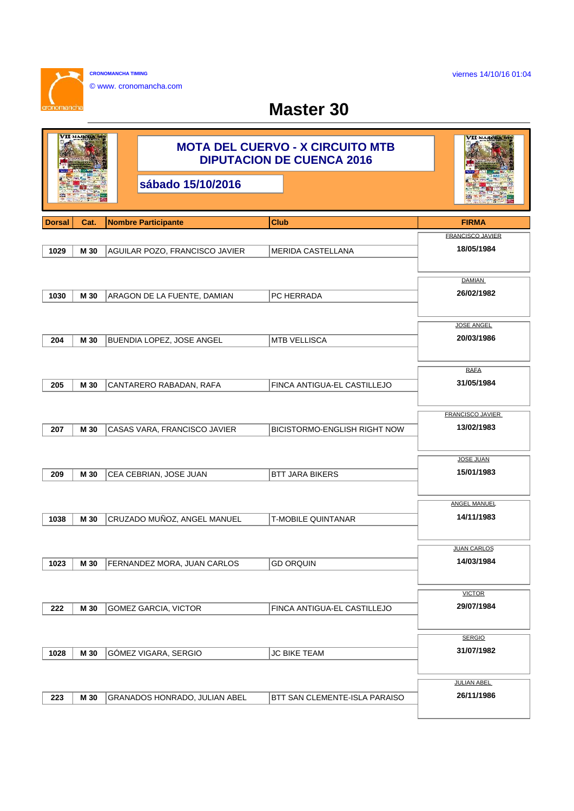viernes 14/10/16 01:04

h

**CRONOMANCHA TIMING**  $\sim$ © www. cronomancha.com

## **Master 30**

| малси         |      | <b>MOTA DEL CUERVO - X CIRCUITO MTB</b><br><b>DIPUTACION DE CUENCA 2016</b> | VII малсиа                          |                                |
|---------------|------|-----------------------------------------------------------------------------|-------------------------------------|--------------------------------|
|               |      | sábado 15/10/2016                                                           |                                     |                                |
| <b>Dorsal</b> | Cat. | <b>Nombre Participante</b>                                                  | Club                                | <b>FIRMA</b>                   |
|               |      |                                                                             |                                     | <b>FRANCISCO JAVIER</b>        |
| 1029          | M 30 | AGUILAR POZO, FRANCISCO JAVIER                                              | <b>MERIDA CASTELLANA</b>            | 18/05/1984                     |
|               |      |                                                                             |                                     | <b>DAMIAN</b>                  |
| 1030          | M 30 | ARAGON DE LA FUENTE, DAMIAN                                                 | PC HERRADA                          | 26/02/1982                     |
|               |      |                                                                             |                                     |                                |
|               |      |                                                                             |                                     | <b>JOSE ANGEL</b>              |
| 204           | M 30 | <b>BUENDIA LOPEZ, JOSE ANGEL</b>                                            | <b>MTB VELLISCA</b>                 | 20/03/1986                     |
|               |      |                                                                             |                                     |                                |
|               |      |                                                                             |                                     | <b>RAFA</b>                    |
| 205           | M 30 | CANTARERO RABADAN, RAFA                                                     | FINCA ANTIGUA-EL CASTILLEJO         | 31/05/1984                     |
|               |      |                                                                             |                                     |                                |
|               |      |                                                                             |                                     | <b>FRANCISCO JAVIER</b>        |
| 207           | M 30 | CASAS VARA, FRANCISCO JAVIER                                                | <b>BICISTORMO-ENGLISH RIGHT NOW</b> | 13/02/1983                     |
|               |      |                                                                             |                                     |                                |
|               |      |                                                                             |                                     | <b>JOSE JUAN</b><br>15/01/1983 |
| 209           | M 30 | CEA CEBRIAN, JOSE JUAN                                                      | <b>BTT JARA BIKERS</b>              |                                |
|               |      |                                                                             |                                     | <b>ANGEL MANUEL</b>            |
| 1038          | M 30 | CRUZADO MUÑOZ, ANGEL MANUEL                                                 | <b>T-MOBILE QUINTANAR</b>           | 14/11/1983                     |
|               |      |                                                                             |                                     |                                |
|               |      |                                                                             |                                     | <b>JUAN CARLOS</b>             |
| 1023          | M 30 | <b>FERNANDEZ MORA, JUAN CARLOS</b>                                          | <b>GD ORQUIN</b>                    | 14/03/1984                     |
|               |      |                                                                             |                                     |                                |
|               |      |                                                                             |                                     | <b>VICTOR</b>                  |
| 222           | M 30 | GOMEZ GARCIA, VICTOR                                                        | FINCA ANTIGUA-EL CASTILLEJO         | 29/07/1984                     |
|               |      |                                                                             |                                     |                                |
|               |      |                                                                             |                                     | <b>SERGIO</b>                  |
| 1028          | M 30 | GÓMEZ VIGARA, SERGIO                                                        | <b>JC BIKE TEAM</b>                 | 31/07/1982                     |
|               |      |                                                                             |                                     |                                |
|               |      |                                                                             |                                     | <b>JULIAN ABEL</b>             |
| 223           | M 30 | GRANADOS HONRADO, JULIAN ABEL                                               | BTT SAN CLEMENTE-ISLA PARAISO       | 26/11/1986                     |
|               |      |                                                                             |                                     |                                |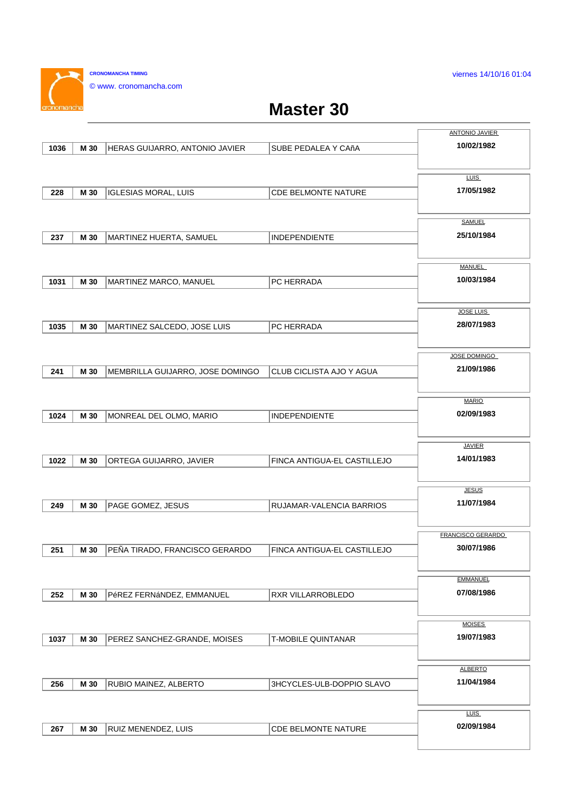viernes 14/10/16 01:04

**CRONOMANCHA TIMING** © www. cronomancha.com

 $\sim$ 

## **Master 30**

|      |      |                                  |                             | <b>ANTONIO JAVIER</b>    |
|------|------|----------------------------------|-----------------------------|--------------------------|
| 1036 | M 30 | HERAS GUIJARRO, ANTONIO JAVIER   | SUBE PEDALEA Y CAñA         | 10/02/1982               |
|      |      |                                  |                             |                          |
|      |      |                                  |                             | <b>LUIS</b>              |
| 228  | M 30 | <b>IGLESIAS MORAL, LUIS</b>      | <b>CDE BELMONTE NATURE</b>  | 17/05/1982               |
|      |      |                                  |                             |                          |
|      |      |                                  |                             | <b>SAMUEL</b>            |
| 237  | M 30 | MARTINEZ HUERTA, SAMUEL          | <b>INDEPENDIENTE</b>        | 25/10/1984               |
|      |      |                                  |                             |                          |
|      |      |                                  |                             | MANUEL                   |
|      |      |                                  |                             | 10/03/1984               |
| 1031 | M 30 | MARTINEZ MARCO, MANUEL           | PC HERRADA                  |                          |
|      |      |                                  |                             |                          |
|      |      |                                  |                             | <b>JOSE LUIS</b>         |
| 1035 | M 30 | MARTINEZ SALCEDO, JOSE LUIS      | PC HERRADA                  | 28/07/1983               |
|      |      |                                  |                             |                          |
|      |      |                                  |                             | JOSE DOMINGO             |
| 241  | M 30 | MEMBRILLA GUIJARRO, JOSE DOMINGO | CLUB CICLISTA AJO Y AGUA    | 21/09/1986               |
|      |      |                                  |                             |                          |
|      |      |                                  |                             | <b>MARIO</b>             |
| 1024 | M 30 | MONREAL DEL OLMO, MARIO          | <b>INDEPENDIENTE</b>        | 02/09/1983               |
|      |      |                                  |                             |                          |
|      |      |                                  |                             | <b>JAVIER</b>            |
|      |      |                                  |                             | 14/01/1983               |
| 1022 | M 30 | ORTEGA GUIJARRO, JAVIER          | FINCA ANTIGUA-EL CASTILLEJO |                          |
|      |      |                                  |                             |                          |
|      |      |                                  |                             | <b>JESUS</b>             |
| 249  | M 30 | PAGE GOMEZ, JESUS                | RUJAMAR-VALENCIA BARRIOS    | 11/07/1984               |
|      |      |                                  |                             |                          |
|      |      |                                  |                             | <b>FRANCISCO GERARDO</b> |
| 251  | M 30 | PEÑA TIRADO, FRANCISCO GERARDO   | FINCA ANTIGUA-EL CASTILLEJO | 30/07/1986               |
|      |      |                                  |                             |                          |
|      |      |                                  |                             | <b>EMMANUEL</b>          |
| 252  | M 30 | PéREZ FERNáNDEZ, EMMANUEL        | RXR VILLARROBLEDO           | 07/08/1986               |
|      |      |                                  |                             |                          |
|      |      |                                  |                             | <b>MOISES</b>            |
| 1037 | M 30 | PEREZ SANCHEZ-GRANDE, MOISES     | T-MOBILE QUINTANAR          | 19/07/1983               |
|      |      |                                  |                             |                          |
|      |      |                                  |                             |                          |
|      |      |                                  |                             | <b>ALBERTO</b>           |
| 256  | M 30 | RUBIO MAINEZ, ALBERTO            | 3HCYCLES-ULB-DOPPIO SLAVO   | 11/04/1984               |
|      |      |                                  |                             |                          |
|      |      |                                  |                             | <b>LUIS</b>              |
| 267  | M 30 | RUIZ MENENDEZ, LUIS              | CDE BELMONTE NATURE         | 02/09/1984               |
|      |      |                                  |                             |                          |